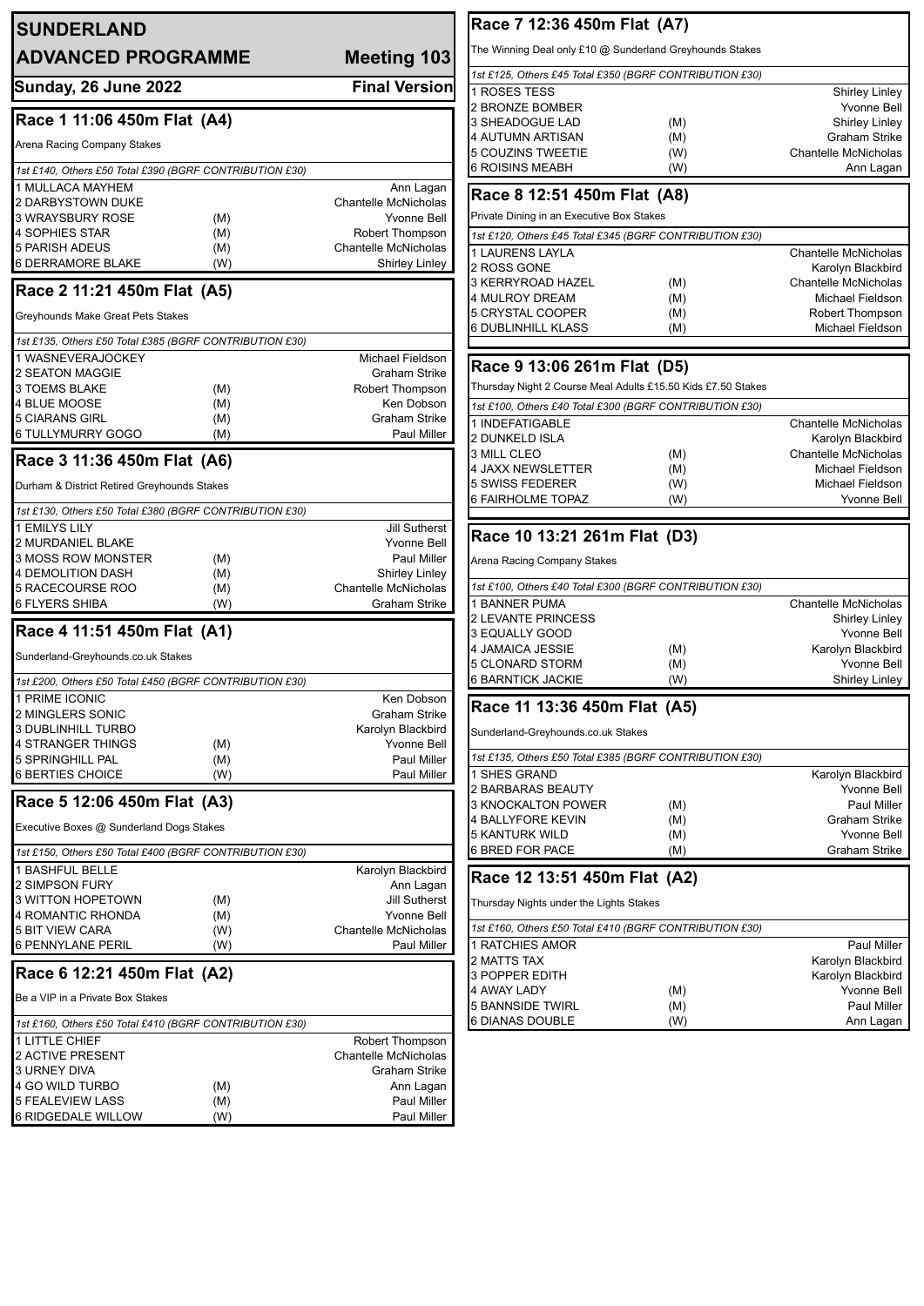| <b>SUNDERLAND</b><br><b>ADVANCED PROGRAMME</b><br>Meeting 103             |                                                | The Winning Deal only £10 @ Sunderland Greyhounds Stakes                   |            |                                                 |
|---------------------------------------------------------------------------|------------------------------------------------|----------------------------------------------------------------------------|------------|-------------------------------------------------|
|                                                                           |                                                | 1st £125, Others £45 Total £350 (BGRF CONTRIBUTION £30)                    |            |                                                 |
| <b>Sunday, 26 June 2022</b>                                               | <b>Final Version</b>                           | 1 ROSES TESS                                                               |            | <b>Shirley Linley</b>                           |
| Race 1 11:06 450m Flat (A4)                                               |                                                | 2 BRONZE BOMBER<br>3 SHEADOGUE LAD                                         | (M)        | <b>Yvonne Bell</b><br><b>Shirley Linley</b>     |
|                                                                           |                                                | 4 AUTUMN ARTISAN                                                           | (M)        | <b>Graham Strike</b>                            |
| Arena Racing Company Stakes                                               |                                                | 5 COUZINS TWEETIE                                                          | (W)        | <b>Chantelle McNicholas</b>                     |
| 1st £140, Others £50 Total £390 (BGRF CONTRIBUTION £30)                   |                                                | <b>6 ROISINS MEABH</b>                                                     | (W)        | Ann Lagan                                       |
| 1 MULLACA MAYHEM                                                          | Ann Lagan                                      |                                                                            |            |                                                 |
| 2 DARBYSTOWN DUKE                                                         | <b>Chantelle McNicholas</b>                    | Race 8 12:51 450m Flat (A8)                                                |            |                                                 |
| <b>3 WRAYSBURY ROSE</b><br>(M)                                            | <b>Yvonne Bell</b>                             | Private Dining in an Executive Box Stakes                                  |            |                                                 |
| <b>4 SOPHIES STAR</b><br>(M)                                              | Robert Thompson                                | 1st £120, Others £45 Total £345 (BGRF CONTRIBUTION £30)                    |            |                                                 |
| 5 PARISH ADEUS<br>(M)<br><b>6 DERRAMORE BLAKE</b><br>(W)                  | Chantelle McNicholas<br>Shirley Linley         | 1 LAURENS LAYLA                                                            |            | <b>Chantelle McNicholas</b>                     |
|                                                                           |                                                | 2 ROSS GONE                                                                |            | Karolyn Blackbird                               |
| Race 2 11:21 450m Flat (A5)                                               |                                                | 3 KERRYROAD HAZEL<br>4 MULROY DREAM                                        | (M)<br>(M) | <b>Chantelle McNicholas</b><br>Michael Fieldson |
| Greyhounds Make Great Pets Stakes                                         |                                                | 5 CRYSTAL COOPER                                                           | (M)        | Robert Thompson                                 |
|                                                                           |                                                | 6 DUBLINHILL KLASS                                                         | (M)        | Michael Fieldson                                |
| 1st £135, Others £50 Total £385 (BGRF CONTRIBUTION £30)                   |                                                |                                                                            |            |                                                 |
| 1 WASNEVERAJOCKEY                                                         | Michael Fieldson                               | Race 9 13:06 261m Flat (D5)                                                |            |                                                 |
| 2 SEATON MAGGIE<br><b>3 TOEMS BLAKE</b>                                   | <b>Graham Strike</b><br><b>Robert Thompson</b> | Thursday Night 2 Course Meal Adults £15.50 Kids £7.50 Stakes               |            |                                                 |
| (M)<br><b>4 BLUE MOOSE</b><br>(M)                                         | Ken Dobson                                     |                                                                            |            |                                                 |
| 5 CIARANS GIRL<br>(M)                                                     | Graham Strike                                  | 1st £100, Others £40 Total £300 (BGRF CONTRIBUTION £30)<br>1 INDEFATIGABLE |            | <b>Chantelle McNicholas</b>                     |
| <b>6 TULLYMURRY GOGO</b><br>(M)                                           | Paul Miller                                    | 2 DUNKELD ISLA                                                             |            | Karolyn Blackbird                               |
|                                                                           |                                                | 3 MILL CLEO                                                                | (M)        | <b>Chantelle McNicholas</b>                     |
| Race 3 11:36 450m Flat (A6)                                               |                                                | 4 JAXX NEWSLETTER                                                          | (M)        | Michael Fieldson                                |
| Durham & District Retired Greyhounds Stakes                               |                                                | 5 SWISS FEDERER                                                            | (W)        | Michael Fieldson                                |
|                                                                           |                                                | 6 FAIRHOLME TOPAZ                                                          | (W)        | <b>Yvonne Bell</b>                              |
| 1st £130, Others £50 Total £380 (BGRF CONTRIBUTION £30)<br>1 EMILYS LILY  | <b>Jill Sutherst</b>                           |                                                                            |            |                                                 |
| 2 MURDANIEL BLAKE                                                         | Yvonne Bell                                    | Race 10 13:21 261m Flat (D3)                                               |            |                                                 |
| 3 MOSS ROW MONSTER<br>(M)                                                 | Paul Miller                                    | Arena Racing Company Stakes                                                |            |                                                 |
| 4 DEMOLITION DASH<br>(M)                                                  | Shirley Linley                                 |                                                                            |            |                                                 |
| 5 RACECOURSE ROO<br>(M)                                                   | <b>Chantelle McNicholas</b>                    | 1st £100, Others £40 Total £300 (BGRF CONTRIBUTION £30)                    |            |                                                 |
| <b>6 FLYERS SHIBA</b><br>(W)                                              | Graham Strike                                  | 1 BANNER PUMA                                                              |            | <b>Chantelle McNicholas</b>                     |
| Race 4 11:51 450m Flat (A1)                                               |                                                | <b>2 LEVANTE PRINCESS</b><br>3 EQUALLY GOOD                                |            | Shirley Linley<br><b>Yvonne Bell</b>            |
|                                                                           |                                                | 4 JAMAICA JESSIE                                                           | (M)        | Karolyn Blackbird                               |
| Sunderland-Greyhounds.co.uk Stakes                                        |                                                | 5 CLONARD STORM                                                            | (M)        | <b>Yvonne Bell</b>                              |
| 1st £200, Others £50 Total £450 (BGRF CONTRIBUTION £30)                   |                                                | <b>6 BARNTICK JACKIE</b>                                                   | (W)        | <b>Shirley Linley</b>                           |
| 1 PRIME ICONIC                                                            | Ken Dobson                                     |                                                                            |            |                                                 |
| 2 MINGLERS SONIC                                                          | Graham Strike                                  | Race 11 13:36 450m Flat (A5)                                               |            |                                                 |
| <b>3 DUBLINHILL TURBO</b>                                                 | Karolyn Blackbird                              | Sunderland-Greyhounds.co.uk Stakes                                         |            |                                                 |
| 4 STRANGER THINGS<br>(M)<br><b>5 SPRINGHILL PAL</b>                       | <b>Yvonne Bell</b>                             | 1st £135, Others £50 Total £385 (BGRF CONTRIBUTION £30)                    |            |                                                 |
| (M)<br><b>6 BERTIES CHOICE</b><br>(W)                                     | Paul Miller<br>Paul Miller                     | 1 SHES GRAND                                                               |            | Karolyn Blackbird                               |
|                                                                           |                                                | 2 BARBARAS BEAUTY                                                          |            | Yvonne Bell                                     |
| Race 5 12:06 450m Flat (A3)                                               |                                                | 3 KNOCKALTON POWER                                                         | (M)        | Paul Miller                                     |
| Executive Boxes @ Sunderland Dogs Stakes                                  |                                                | 4 BALLYFORE KEVIN                                                          | (M)        | <b>Graham Strike</b>                            |
|                                                                           |                                                | <b>5 KANTURK WILD</b>                                                      | (M)        | <b>Yvonne Bell</b>                              |
| 1st £150, Others £50 Total £400 (BGRF CONTRIBUTION £30)                   |                                                | 6 BRED FOR PACE                                                            | (M)        | <b>Graham Strike</b>                            |
| 1 BASHFUL BELLE                                                           | Karolyn Blackbird                              | Race 12 13:51 450m Flat (A2)                                               |            |                                                 |
| 2 SIMPSON FURY                                                            | Ann Lagan                                      |                                                                            |            |                                                 |
| 3 WITTON HOPETOWN<br>(M)<br>4 ROMANTIC RHONDA<br>(M)                      | <b>Jill Sutherst</b><br><b>Yvonne Bell</b>     | Thursday Nights under the Lights Stakes                                    |            |                                                 |
| <b>5 BIT VIEW CARA</b><br>(W)                                             | Chantelle McNicholas                           | 1st £160, Others £50 Total £410 (BGRF CONTRIBUTION £30)                    |            |                                                 |
| <b>6 PENNYLANE PERIL</b><br>(W)                                           | Paul Miller                                    | 1 RATCHIES AMOR                                                            |            | Paul Miller                                     |
|                                                                           |                                                | 2 MATTS TAX                                                                |            | Karolyn Blackbird                               |
| Race 6 12:21 450m Flat (A2)                                               |                                                | 3 POPPER EDITH                                                             |            | Karolyn Blackbird                               |
| Be a VIP in a Private Box Stakes                                          |                                                | 4 AWAY LADY                                                                | (M)        | <b>Yvonne Bell</b>                              |
|                                                                           |                                                | 5 BANNSIDE TWIRL<br>6 DIANAS DOUBLE                                        | (M)<br>(W) | Paul Miller<br>Ann Lagan                        |
| 1st £160, Others £50 Total £410 (BGRF CONTRIBUTION £30)<br>1 LITTLE CHIEF | Robert Thompson                                |                                                                            |            |                                                 |
| <b>2 ACTIVE PRESENT</b>                                                   | Chantelle McNicholas                           |                                                                            |            |                                                 |
|                                                                           |                                                |                                                                            |            |                                                 |
| <b>3 URNEY DIVA</b>                                                       | <b>Graham Strike</b>                           |                                                                            |            |                                                 |
| 4 GO WILD TURBO<br>(M)                                                    | Ann Lagan                                      |                                                                            |            |                                                 |
| <b>5 FEALEVIEW LASS</b><br>(M)<br>6 RIDGEDALE WILLOW<br>(W)               | Paul Miller<br>Paul Miller                     |                                                                            |            |                                                 |